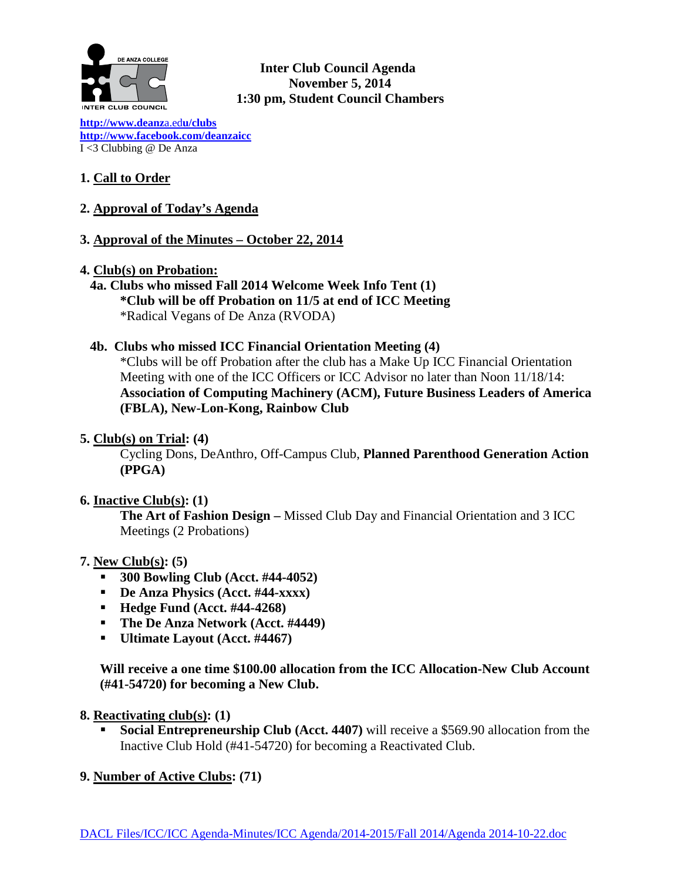

**Inter Club Council Agenda November 5, 2014 1:30 pm, Student Council Chambers** 

**[http://www.deanz](http://www.deanza.edu/clubs)**a.ed**u/clubs [http://www.facebook.com/deanzaicc](http://www.facebook.com/home.php%23!/group.php?gid=59034552686)** I <3 Clubbing @ De Anza

# **1. Call to Order**

## **2. Approval of Today's Agenda**

## **3. Approval of the Minutes – October 22, 2014**

- **4. Club(s) on Probation:**
	- **4a. Clubs who missed Fall 2014 Welcome Week Info Tent (1) \*Club will be off Probation on 11/5 at end of ICC Meeting** \*Radical Vegans of De Anza (RVODA)

#### **4b. Clubs who missed ICC Financial Orientation Meeting (4)**

\*Clubs will be off Probation after the club has a Make Up ICC Financial Orientation Meeting with one of the ICC Officers or ICC Advisor no later than Noon 11/18/14: **Association of Computing Machinery (ACM), Future Business Leaders of America (FBLA), New-Lon-Kong, Rainbow Club**

#### **5. Club(s) on Trial: (4)**

Cycling Dons, DeAnthro, Off-Campus Club, **Planned Parenthood Generation Action (PPGA)**

#### **6. Inactive Club(s): (1)**

**The Art of Fashion Design –** Missed Club Day and Financial Orientation and 3 ICC Meetings (2 Probations)

#### **7. New Club(s): (5)**

- **300 Bowling Club (Acct. #44-4052)**
- **De Anza Physics (Acct. #44-xxxx)**
- **Hedge Fund (Acct. #44-4268)**
- **The De Anza Network (Acct. #4449)**
- **Ultimate Layout (Acct. #4467)**

**Will receive a one time \$100.00 allocation from the ICC Allocation-New Club Account (#41-54720) for becoming a New Club.**

#### **8. Reactivating club(s): (1)**

**Social Entrepreneurship Club (Acct. 4407)** will receive a \$569.90 allocation from the Inactive Club Hold (#41-54720) for becoming a Reactivated Club.

#### **9. Number of Active Clubs: (71)**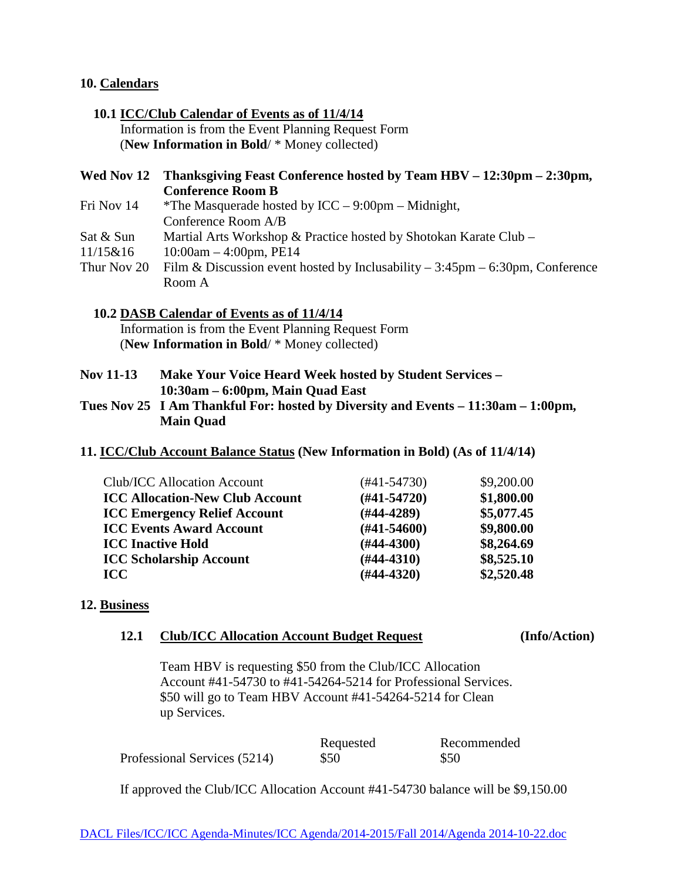#### **10. Calendars**

#### **10.1 ICC/Club Calendar of Events as of 11/4/14** Information is from the Event Planning Request Form (**New Information in Bold**/ \* Money collected)

## **Wed Nov 12 Thanksgiving Feast Conference hosted by Team HBV – 12:30pm – 2:30pm, Conference Room B**

- Fri Nov 14 \* The Masquerade hosted by ICC 9:00pm Midnight, Conference Room A/B
- Sat & Sun Martial Arts Workshop & Practice hosted by Shotokan Karate Club –
- 11/15&16 10:00am 4:00pm, PE14
- Thur Nov 20 Film & Discussion event hosted by Inclusability 3:45pm 6:30pm, Conference Room A

## **10.2 DASB Calendar of Events as of 11/4/14**

 Information is from the Event Planning Request Form (**New Information in Bold**/ \* Money collected)

- **Nov 11-13 Make Your Voice Heard Week hosted by Student Services – 10:30am – 6:00pm, Main Quad East**
- **Tues Nov 25 I Am Thankful For: hosted by Diversity and Events – 11:30am – 1:00pm, Main Quad**
- **11. ICC/Club Account Balance Status (New Information in Bold) (As of 11/4/14)**

| Club/ICC Allocation Account            | (#41-54730)      | \$9,200.00 |
|----------------------------------------|------------------|------------|
| <b>ICC Allocation-New Club Account</b> | $(#41-54720)$    | \$1,800.00 |
| <b>ICC Emergency Relief Account</b>    | $(\#44-4289)$    | \$5,077.45 |
| <b>ICC Events Award Account</b>        | $(\#41 - 54600)$ | \$9,800.00 |
| <b>ICC Inactive Hold</b>               | $(H44-4300)$     | \$8,264.69 |
| <b>ICC Scholarship Account</b>         | $(#44-4310)$     | \$8,525.10 |
| <b>ICC</b>                             | $(H44-4320)$     | \$2,520.48 |
|                                        |                  |            |

## **12. Business**

#### **12.1 Club/ICC Allocation Account Budget Request (Info/Action)**

Team HBV is requesting \$50 from the Club/ICC Allocation Account #41-54730 to #41-54264-5214 for Professional Services. \$50 will go to Team HBV Account #41-54264-5214 for Clean up Services.

|                              | Requested | Recommended |
|------------------------------|-----------|-------------|
| Professional Services (5214) | \$50      | \$50        |

If approved the Club/ICC Allocation Account #41-54730 balance will be \$9,150.00